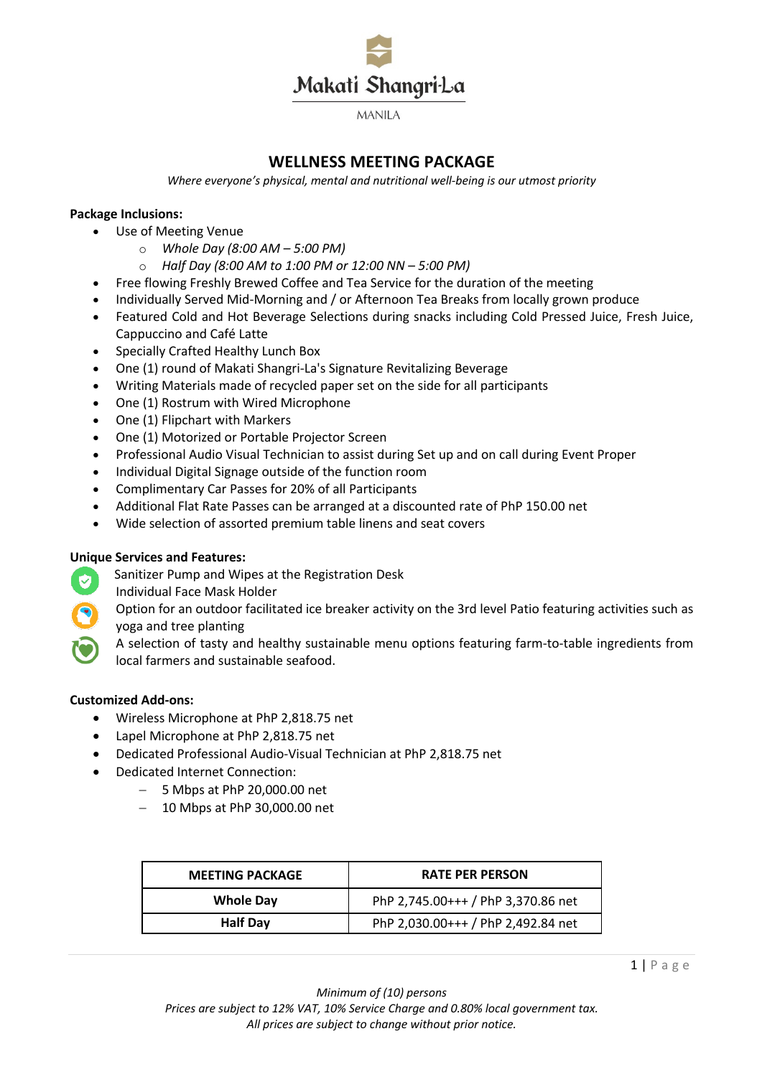

**MANILA** 

# **WELLNESS MEETING PACKAGE**

*Where everyone's physical, mental and nutritional well-being is our utmost priority*

### **Package Inclusions:**

- Use of Meeting Venue
	- o *Whole Day (8:00 AM – 5:00 PM)*
	- o *Half Day (8:00 AM to 1:00 PM or 12:00 NN – 5:00 PM)*
- Free flowing Freshly Brewed Coffee and Tea Service for the duration of the meeting
- Individually Served Mid-Morning and / or Afternoon Tea Breaks from locally grown produce
- Featured Cold and Hot Beverage Selections during snacks including Cold Pressed Juice, Fresh Juice, Cappuccino and Café Latte
- Specially Crafted Healthy Lunch Box
- One (1) round of Makati Shangri-La's Signature Revitalizing Beverage
- Writing Materials made of recycled paper set on the side for all participants
- One (1) Rostrum with Wired Microphone
- One (1) Flipchart with Markers
- One (1) Motorized or Portable Projector Screen
- Professional Audio Visual Technician to assist during Set up and on call during Event Proper
- Individual Digital Signage outside of the function room
- Complimentary Car Passes for 20% of all Participants
- Additional Flat Rate Passes can be arranged at a discounted rate of PhP 150.00 net
- Wide selection of assorted premium table linens and seat covers

## **Unique Services and Features:**

- Sanitizer Pump and Wipes at the Registration Desk Ø
	- Individual Face Mask Holder
	- Option for an outdoor facilitated ice breaker activity on the 3rd level Patio featuring activities such as yoga and tree planting

A selection of tasty and healthy sustainable menu options featuring farm-to-table ingredients from local farmers and sustainable seafood.

#### **Customized Add-ons:**

- Wireless Microphone at PhP 2,818.75 net
- Lapel Microphone at PhP 2,818.75 net
- Dedicated Professional Audio-Visual Technician at PhP 2,818.75 net
- Dedicated Internet Connection:
	- 5 Mbps at PhP 20,000.00 net
	- 10 Mbps at PhP 30,000.00 net

| <b>MEETING PACKAGE</b> | <b>RATE PER PERSON</b>             |
|------------------------|------------------------------------|
| <b>Whole Day</b>       | PhP 2,745.00+++ / PhP 3,370.86 net |
| <b>Half Day</b>        | PhP 2,030.00+++ / PhP 2,492.84 net |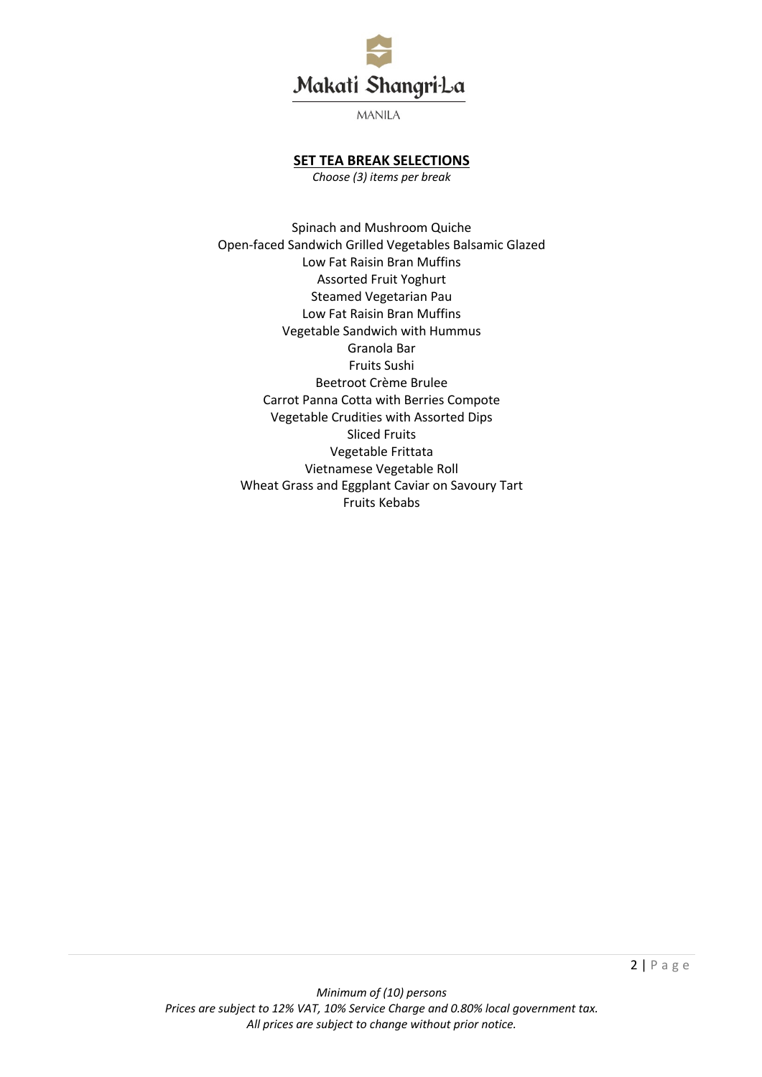

**MANILA** 

## **SET TEA BREAK SELECTIONS**

*Choose (3) items per break*

Spinach and Mushroom Quiche Open-faced Sandwich Grilled Vegetables Balsamic Glazed Low Fat Raisin Bran Muffins Assorted Fruit Yoghurt Steamed Vegetarian Pau Low Fat Raisin Bran Muffins Vegetable Sandwich with Hummus Granola Bar Fruits Sushi Beetroot Crème Brulee Carrot Panna Cotta with Berries Compote Vegetable Crudities with Assorted Dips Sliced Fruits Vegetable Frittata Vietnamese Vegetable Roll Wheat Grass and Eggplant Caviar on Savoury Tart Fruits Kebabs